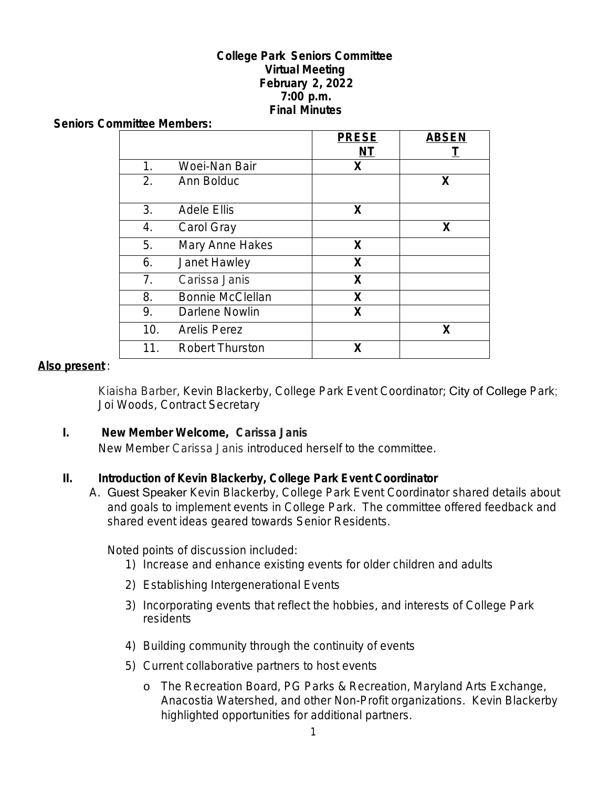#### **College Park Seniors Committee Virtual Meeting February 2, 2022 7:00 p.m. Final Minutes**

#### **Seniors Committee Members:**

|                  |                         | <b>PRESE</b> | <b>ABSEN</b> |
|------------------|-------------------------|--------------|--------------|
|                  |                         | NT           |              |
| 1 <sub>1</sub>   | Woei-Nan Bair           | X            |              |
| $\overline{2}$ . | Ann Bolduc              |              | X            |
| 3.               | <b>Adele Ellis</b>      | X            |              |
| 4.               | Carol Gray              |              | X            |
| 5.               | Mary Anne Hakes         | X            |              |
| 6.               | Janet Hawley            | X            |              |
| 7 <sub>1</sub>   | Carissa Janis           | X            |              |
| 8.               | <b>Bonnie McClellan</b> | X            |              |
| 9.               | Darlene Nowlin          | X            |              |
| 10.              | <b>Arelis Perez</b>     |              | X            |
| 11.              | <b>Robert Thurston</b>  | Х            |              |

#### **Also present** :

Kiaisha Barber, Kevin Blackerby, College Park Event Coordinator; City of College Park; Joi Woods, Contract Secretary

#### **I. New Member Welcome, Carissa Janis**

New Member Carissa Janis introduced herself to the committee.

#### **II. Introduction of Kevin Blackerby, College Park Event Coordinator**

A. Guest Speaker Kevin Blackerby, College Park Event Coordinator shared details about and goals to implement events in College Park. The committee offered feedback and shared event ideas geared towards Senior Residents.

Noted points of discussion included:

- 1) Increase and enhance existing events for older children and adults
- 2) Establishing Intergenerational Events
- 3) Incorporating events that reflect the hobbies, and interests of College Park residents
- 4) Building community through the continuity of events
- 5) Current collaborative partners to host events
	- o The Recreation Board, PG Parks & Recreation, Maryland Arts Exchange, Anacostia Watershed, and other Non-Profit organizations. Kevin Blackerby highlighted opportunities for additional partners.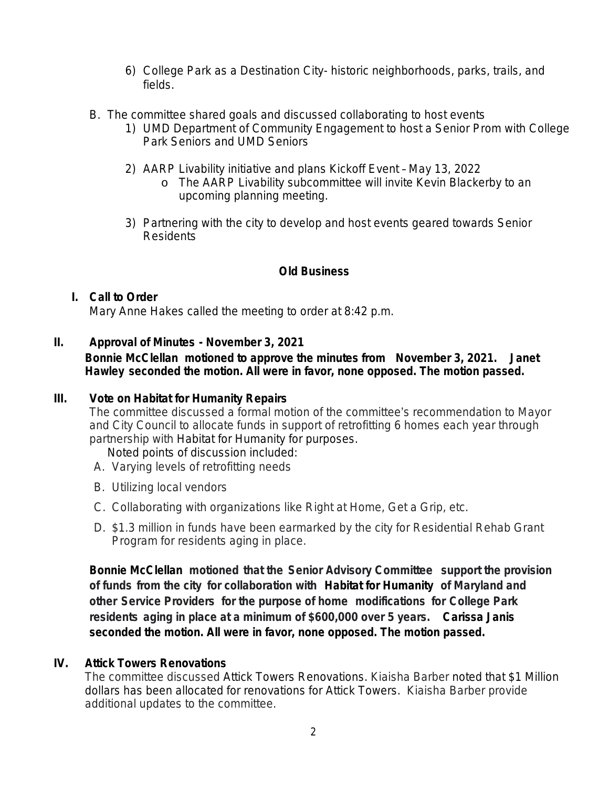- 6) College Park as a Destination City- historic neighborhoods, parks, trails, and fields.
- B. The committee shared goals and discussed collaborating to host events
	- 1) UMD Department of Community Engagement to host a Senior Prom with College Park Seniors and UMD Seniors
	- 2) AARP Livability initiative and plans Kickoff Event May 13, 2022
		- o The AARP Livability subcommittee will invite Kevin Blackerby to an upcoming planning meeting.
	- 3) Partnering with the city to develop and host events geared towards Senior Residents

## **Old Business**

# **I. Call to Order**

Mary Anne Hakes called the meeting to order at 8:42 p.m.

### **II. Approval of Minutes - November 3, 2021**

## **Bonnie McClellan motioned to approve the minutes from November 3, 2021. Janet Hawley seconded the motion. All were in favor, none opposed. The motion passed.**

## **III. Vote on Habitat for Humanity Repairs**

The committee discussed a formal motion of the committee's recommendation to Mayor and City Council to allocate funds in support of retrofitting 6 homes each year through partnership with Habitat for Humanity for purposes.

Noted points of discussion included:

- A. Varying levels of retrofitting needs
- B. Utilizing local vendors
- C. Collaborating with organizations like *Right at Home, Get a Grip,* etc.
- D. \$1.3 million in funds have been earmarked by the city for Residential Rehab Grant Program for residents aging in place.

**Bonnie McClellan motioned that the Senior Advisory Committee support the provision of funds from the city for collaboration with Habitat for Humanity of Maryland and other Service Providers for the purpose of home modifications for College Park residents aging in place at a minimum of \$600,000 over 5 years. Carissa Janis seconded the motion. All were in favor, none opposed. The motion passed.**

#### **IV. Attick Towers Renovations**

The committee discussed Attick Towers Renovations. Kiaisha Barber noted that \$1 Million dollars has been allocated for renovations for Attick Towers. Kiaisha Barber provide additional updates to the committee.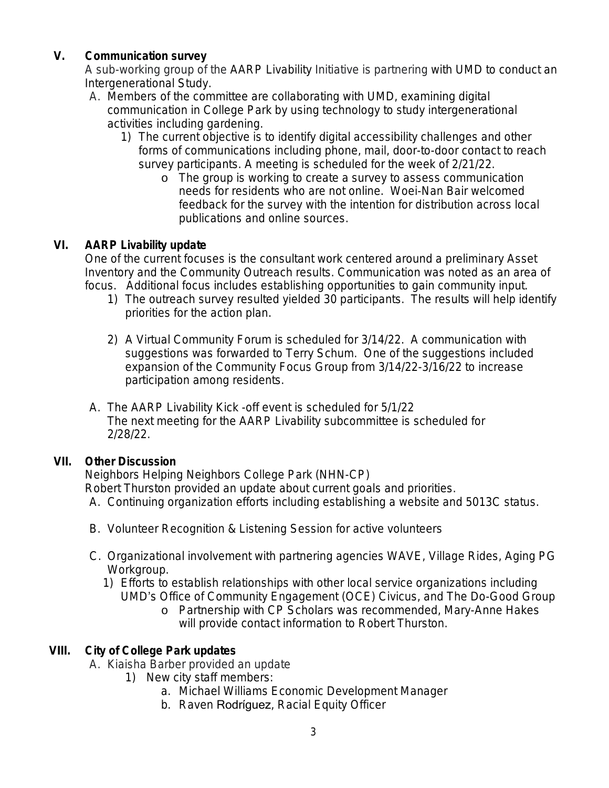## **V. Communication survey**

A sub-working group of the AARP Livability Initiative is partnering with UMD to conduct an Intergenerational Study.

- A. Members of the committee are collaborating with UMD, examining digital communication in College Park by using technology to study intergenerational activities including gardening.
	- 1) The current objective is to identify digital accessibility challenges and other forms of communications including phone, mail, door-to-door contact to reach survey participants. A meeting is scheduled for the week of 2/21/22.
		- o The group is working to create a survey to assess communication needs for residents who are not online. Woei-Nan Bair welcomed feedback for the survey with the intention for distribution across local publications and online sources.

## **VI. AARP Livability update**

One of the current focuses is the consultant work centered around a preliminary Asset Inventory and the Community Outreach results. Communication was noted as an area of focus. Additional focus includes establishing opportunities to gain community input.

- 1) The outreach survey resulted yielded 30 participants. The results will help identify priorities for the action plan.
- 2) A Virtual Community Forum is scheduled for 3/14/22. A communication with suggestions was forwarded to Terry Schum. One of the suggestions included expansion of the Community Focus Group from 3/14/22-3/16/22 to increase participation among residents.
- A. The AARP Livability Kick -off event is scheduled for 5/1/22 The next meeting for the AARP Livability subcommittee is scheduled for 2/28/22.

## **VII. Other Discussion**

Neighbors Helping Neighbors College Park (NHN-CP) Robert Thurston provided an update about current goals and priorities.

- A. Continuing organization efforts including establishing a website and 5013C status.
- B. Volunteer Recognition & Listening Session for active volunteers
- C. Organizational involvement with partnering agencies WAVE, Village Rides, Aging PG Workgroup.
	- 1) Efforts to establish relationships with other local service organizations including UMD's Office of Community Engagement (OCE) *Civicus,* and *The Do-Good Group*
		- o Partnership with CP Scholars was recommended, Mary-Anne Hakes will provide contact information to Robert Thurston.

## **VIII. City of College Park updates**

- A. Kiaisha Barber provided an update
	- 1) New city staff members:
		- a. Michael Williams Economic Development Manager
		- b. Raven Rodríguez, Racial Equity Officer